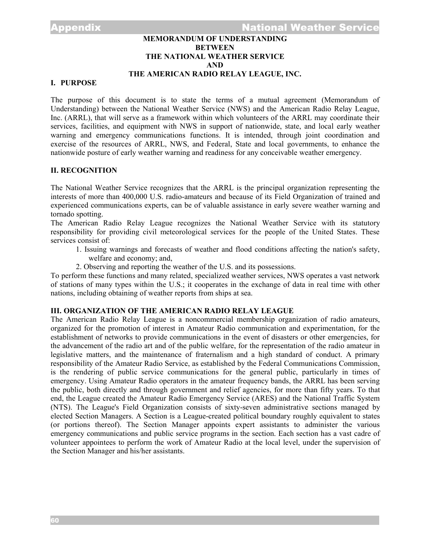# **MEMORANDUM OF UNDERSTANDING BETWEEN THE NATIONAL WEATHER SERVICE AND THE AMERICAN RADIO RELAY LEAGUE, INC.**

# **I. PURPOSE**

The purpose of this document is to state the terms of a mutual agreement (Memorandum of Understanding) between the National Weather Service (NWS) and the American Radio Relay League, Inc. (ARRL), that will serve as a framework within which volunteers of the ARRL may coordinate their services, facilities, and equipment with NWS in support of nationwide, state, and local early weather warning and emergency communications functions. It is intended, through joint coordination and exercise of the resources of ARRL, NWS, and Federal, State and local governments, to enhance the nationwide posture of early weather warning and readiness for any conceivable weather emergency.

### **II. RECOGNITION**

The National Weather Service recognizes that the ARRL is the principal organization representing the interests of more than 400,000 U.S. radio-amateurs and because of its Field Organization of trained and experienced communications experts, can be of valuable assistance in early severe weather warning and tornado spotting.

The American Radio Relay League recognizes the National Weather Service with its statutory responsibility for providing civil meteorological services for the people of the United States. These services consist of:

- 1. Issuing warnings and forecasts of weather and flood conditions affecting the nation's safety, welfare and economy; and,
- 2. Observing and reporting the weather of the U.S. and its possessions.

To perform these functions and many related, specialized weather services, NWS operates a vast network of stations of many types within the U.S.; it cooperates in the exchange of data in real time with other nations, including obtaining of weather reports from ships at sea.

# **III. ORGANIZATION OF THE AMERICAN RADIO RELAY LEAGUE**

The American Radio Relay League is a noncommercial membership organization of radio amateurs, organized for the promotion of interest in Amateur Radio communication and experimentation, for the establishment of networks to provide communications in the event of disasters or other emergencies, for the advancement of the radio art and of the public welfare, for the representation of the radio amateur in legislative matters, and the maintenance of fraternalism and a high standard of conduct. A primary responsibility of the Amateur Radio Service, as established by the Federal Communications Commission, is the rendering of public service communications for the general public, particularly in times of emergency. Using Amateur Radio operators in the amateur frequency bands, the ARRL has been serving the public, both directly and through government and relief agencies, for more than fifty years. To that end, the League created the Amateur Radio Emergency Service (ARES) and the National Traffic System (NTS). The League's Field Organization consists of sixty-seven administrative sections managed by elected Section Managers. A Section is a League-created political boundary roughly equivalent to states (or portions thereof). The Section Manager appoints expert assistants to administer the various emergency communications and public service programs in the section. Each section has a vast cadre of volunteer appointees to perform the work of Amateur Radio at the local level, under the supervision of the Section Manager and his/her assistants.